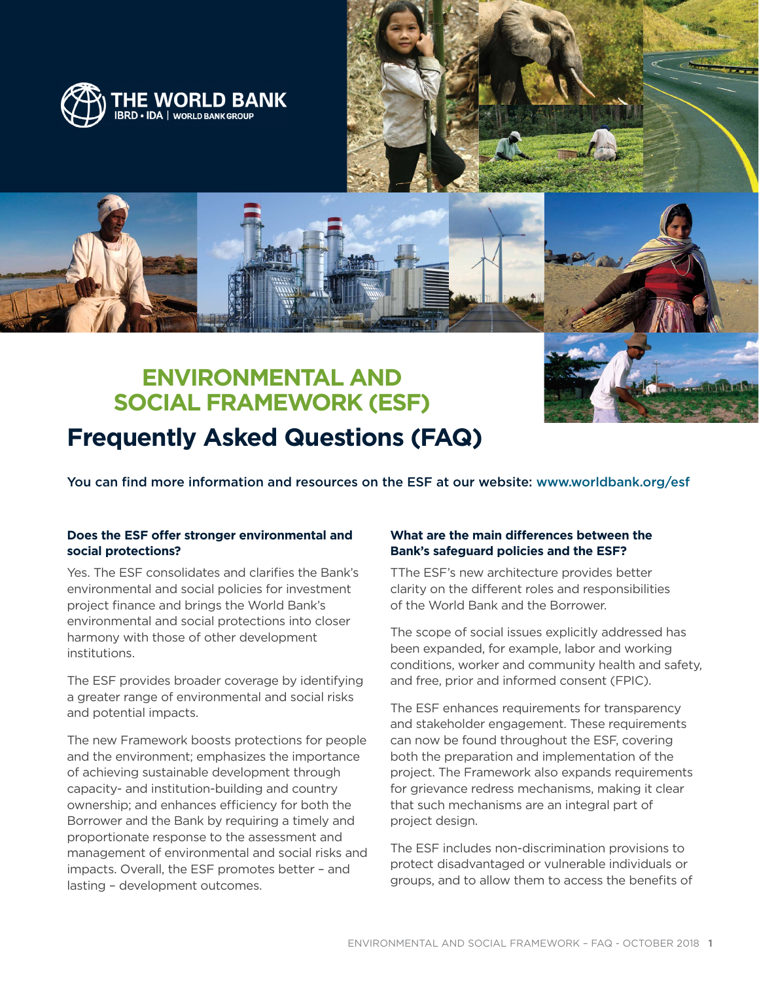

# **ENVIRONMENTAL AND SOCIAL FRAMEWORK (ESF) Frequently Asked Questions (FAQ)**

You can find more information and resources on the ESF at our website: [www.worldbank.org/esf](http://www.worldbank.org/en/projects-operations/environmental-and-social-framework)

#### **Does the ESF offer stronger environmental and social protections?**

Yes. The ESF consolidates and clarifies the Bank's environmental and social policies for investment project finance and brings the World Bank's environmental and social protections into closer harmony with those of other development institutions.

The ESF provides broader coverage by identifying a greater range of environmental and social risks and potential impacts.

The new Framework boosts protections for people and the environment; emphasizes the importance of achieving sustainable development through capacity- and institution-building and country ownership; and enhances efficiency for both the Borrower and the Bank by requiring a timely and proportionate response to the assessment and management of environmental and social risks and impacts. Overall, the ESF promotes better – and lasting – development outcomes.

# **What are the main differences between the Bank's safeguard policies and the ESF?**

TThe ESF's new architecture provides better clarity on the different roles and responsibilities of the World Bank and the Borrower.

The scope of social issues explicitly addressed has been expanded, for example, labor and working conditions, worker and community health and safety, and free, prior and informed consent (FPIC).

The ESF enhances requirements for transparency and stakeholder engagement. These requirements can now be found throughout the ESF, covering both the preparation and implementation of the project. The Framework also expands requirements for grievance redress mechanisms, making it clear that such mechanisms are an integral part of project design.

The ESF includes non-discrimination provisions to protect disadvantaged or vulnerable individuals or groups, and to allow them to access the benefits of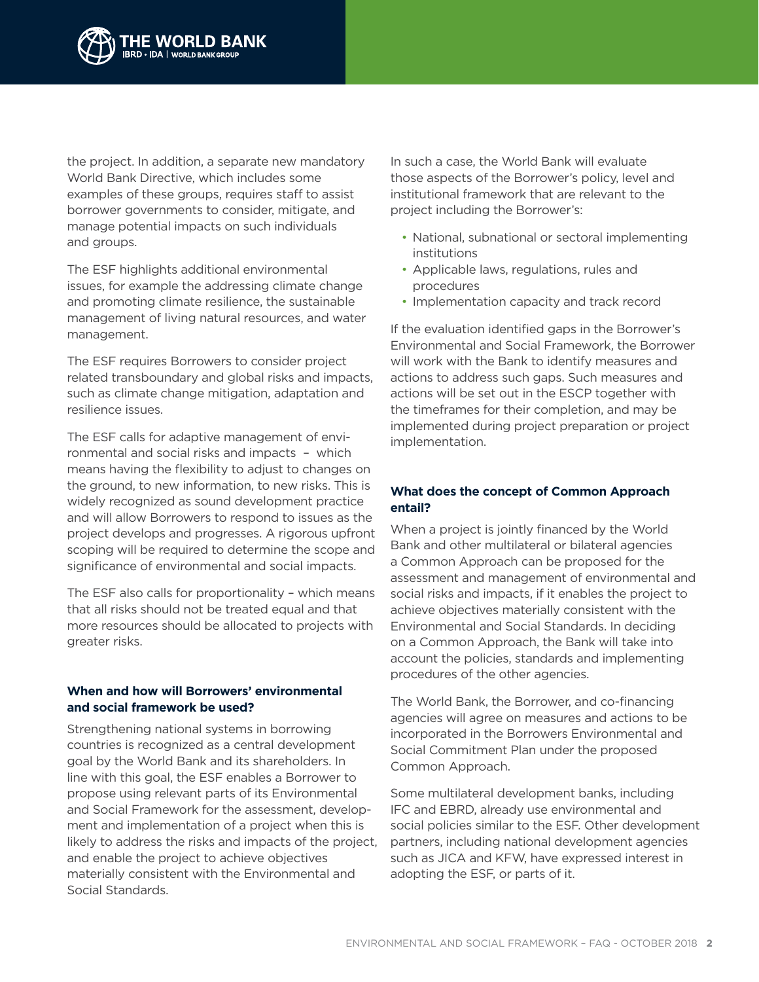

the project. In addition, a separate new mandatory World Bank Directive, which includes some examples of these groups, requires staff to assist borrower governments to consider, mitigate, and manage potential impacts on such individuals and groups.

The ESF highlights additional environmental issues, for example the addressing climate change and promoting climate resilience, the sustainable management of living natural resources, and water management.

The ESF requires Borrowers to consider project related transboundary and global risks and impacts, such as climate change mitigation, adaptation and resilience issues.

The ESF calls for adaptive management of environmental and social risks and impacts – which means having the flexibility to adjust to changes on the ground, to new information, to new risks. This is widely recognized as sound development practice and will allow Borrowers to respond to issues as the project develops and progresses. A rigorous upfront scoping will be required to determine the scope and significance of environmental and social impacts.

The ESF also calls for proportionality – which means that all risks should not be treated equal and that more resources should be allocated to projects with greater risks.

# **When and how will Borrowers' environmental and social framework be used?**

Strengthening national systems in borrowing countries is recognized as a central development goal by the World Bank and its shareholders. In line with this goal, the ESF enables a Borrower to propose using relevant parts of its Environmental and Social Framework for the assessment, development and implementation of a project when this is likely to address the risks and impacts of the project, and enable the project to achieve objectives materially consistent with the Environmental and Social Standards.

In such a case, the World Bank will evaluate those aspects of the Borrower's policy, level and institutional framework that are relevant to the project including the Borrower's:

- National, subnational or sectoral implementing institutions
- Applicable laws, regulations, rules and procedures
- Implementation capacity and track record

If the evaluation identified gaps in the Borrower's Environmental and Social Framework, the Borrower will work with the Bank to identify measures and actions to address such gaps. Such measures and actions will be set out in the ESCP together with the timeframes for their completion, and may be implemented during project preparation or project implementation.

# **What does the concept of Common Approach entail?**

When a project is jointly financed by the World Bank and other multilateral or bilateral agencies a Common Approach can be proposed for the assessment and management of environmental and social risks and impacts, if it enables the project to achieve objectives materially consistent with the Environmental and Social Standards. In deciding on a Common Approach, the Bank will take into account the policies, standards and implementing procedures of the other agencies.

The World Bank, the Borrower, and co-financing agencies will agree on measures and actions to be incorporated in the Borrowers Environmental and Social Commitment Plan under the proposed Common Approach.

Some multilateral development banks, including IFC and EBRD, already use environmental and social policies similar to the ESF. Other development partners, including national development agencies such as JICA and KFW, have expressed interest in adopting the ESF, or parts of it.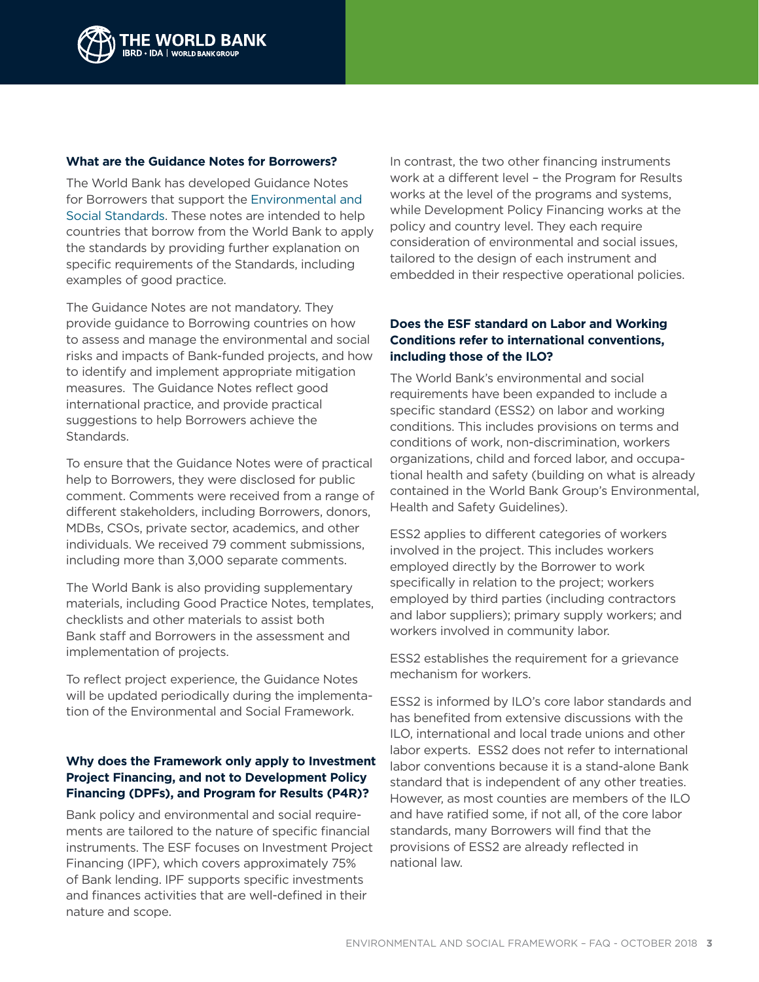

#### **What are the Guidance Notes for Borrowers?**

The World Bank has developed Guidance Notes for Borrowers that support the [Environmental and](http://documents.worldbank.org/curated/en/383011492423734099/pdf/114278-WP-REVISED-PUBLIC-Environmental-and-Social-Framework.pdf)  [Social Standards.](http://documents.worldbank.org/curated/en/383011492423734099/pdf/114278-WP-REVISED-PUBLIC-Environmental-and-Social-Framework.pdf) These notes are intended to help countries that borrow from the World Bank to apply the standards by providing further explanation on specific requirements of the Standards, including examples of good practice.

The Guidance Notes are not mandatory. They provide guidance to Borrowing countries on how to assess and manage the environmental and social risks and impacts of Bank-funded projects, and how to identify and implement appropriate mitigation measures. The Guidance Notes reflect good international practice, and provide practical suggestions to help Borrowers achieve the Standards.

To ensure that the Guidance Notes were of practical help to Borrowers, they were disclosed for public comment. Comments were received from a range of different stakeholders, including Borrowers, donors, MDBs, CSOs, private sector, academics, and other individuals. We received 79 comment submissions, including more than 3,000 separate comments.

The World Bank is also providing supplementary materials, including Good Practice Notes, templates, checklists and other materials to assist both Bank staff and Borrowers in the assessment and implementation of projects.

To reflect project experience, the Guidance Notes will be updated periodically during the implementation of the Environmental and Social Framework.

# **Why does the Framework only apply to Investment Project Financing, and not to Development Policy Financing (DPFs), and Program for Results (P4R)?**

Bank policy and environmental and social requirements are tailored to the nature of specific financial instruments. The ESF focuses on Investment Project Financing (IPF), which covers approximately 75% of Bank lending. IPF supports specific investments and finances activities that are well-defined in their nature and scope.

In contrast, the two other financing instruments work at a different level – the Program for Results works at the level of the programs and systems, while Development Policy Financing works at the policy and country level. They each require consideration of environmental and social issues, tailored to the design of each instrument and embedded in their respective operational policies.

# **Does the ESF standard on Labor and Working Conditions refer to international conventions, including those of the ILO?**

The World Bank's environmental and social requirements have been expanded to include a specific standard (ESS2) on labor and working conditions. This includes provisions on terms and conditions of work, non-discrimination, workers organizations, child and forced labor, and occupational health and safety (building on what is already contained in the World Bank Group's Environmental, Health and Safety Guidelines).

ESS2 applies to different categories of workers involved in the project. This includes workers employed directly by the Borrower to work specifically in relation to the project; workers employed by third parties (including contractors and labor suppliers); primary supply workers; and workers involved in community labor.

ESS2 establishes the requirement for a grievance mechanism for workers.

ESS2 is informed by ILO's core labor standards and has benefited from extensive discussions with the ILO, international and local trade unions and other labor experts. ESS2 does not refer to international labor conventions because it is a stand-alone Bank standard that is independent of any other treaties. However, as most counties are members of the ILO and have ratified some, if not all, of the core labor standards, many Borrowers will find that the provisions of ESS2 are already reflected in national law.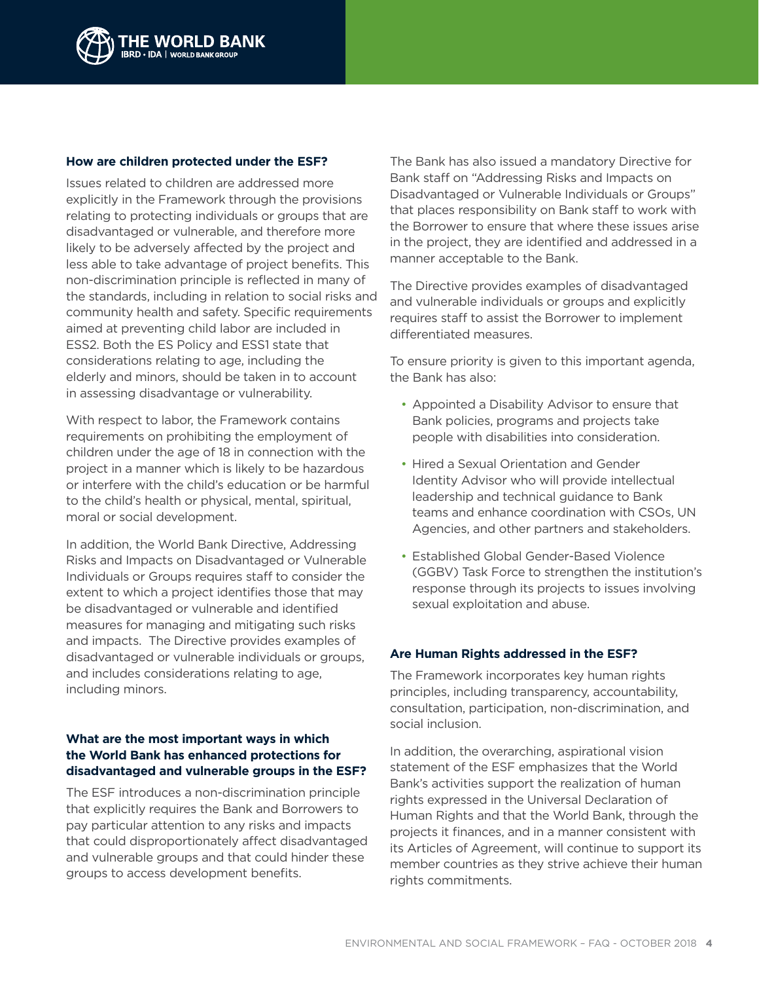

#### **How are children protected under the ESF?**

Issues related to children are addressed more explicitly in the Framework through the provisions relating to protecting individuals or groups that are disadvantaged or vulnerable, and therefore more likely to be adversely affected by the project and less able to take advantage of project benefits. This non-discrimination principle is reflected in many of the standards, including in relation to social risks and community health and safety. Specific requirements aimed at preventing child labor are included in ESS2. Both the ES Policy and ESS1 state that considerations relating to age, including the elderly and minors, should be taken in to account in assessing disadvantage or vulnerability.

With respect to labor, the Framework contains requirements on prohibiting the employment of children under the age of 18 in connection with the project in a manner which is likely to be hazardous or interfere with the child's education or be harmful to the child's health or physical, mental, spiritual, moral or social development.

In addition, the World Bank Directive, Addressing Risks and Impacts on Disadvantaged or Vulnerable Individuals or Groups requires staff to consider the extent to which a project identifies those that may be disadvantaged or vulnerable and identified measures for managing and mitigating such risks and impacts. The Directive provides examples of disadvantaged or vulnerable individuals or groups, and includes considerations relating to age, including minors.

# **What are the most important ways in which the World Bank has enhanced protections for disadvantaged and vulnerable groups in the ESF?**

The ESF introduces a non-discrimination principle that explicitly requires the Bank and Borrowers to pay particular attention to any risks and impacts that could disproportionately affect disadvantaged and vulnerable groups and that could hinder these groups to access development benefits.

The Bank has also issued a mandatory Directive for Bank staff on "Addressing Risks and Impacts on Disadvantaged or Vulnerable Individuals or Groups" that places responsibility on Bank staff to work with the Borrower to ensure that where these issues arise in the project, they are identified and addressed in a manner acceptable to the Bank.

The Directive provides examples of disadvantaged and vulnerable individuals or groups and explicitly requires staff to assist the Borrower to implement differentiated measures.

To ensure priority is given to this important agenda, the Bank has also:

- Appointed a Disability Advisor to ensure that Bank policies, programs and projects take people with disabilities into consideration.
- Hired a Sexual Orientation and Gender Identity Advisor who will provide intellectual leadership and technical guidance to Bank teams and enhance coordination with CSOs, UN Agencies, and other partners and stakeholders.
- Established Global Gender-Based Violence (GGBV) Task Force to strengthen the institution's response through its projects to issues involving sexual exploitation and abuse.

# **Are Human Rights addressed in the ESF?**

The Framework incorporates key human rights principles, including transparency, accountability, consultation, participation, non-discrimination, and social inclusion.

In addition, the overarching, aspirational vision statement of the ESF emphasizes that the World Bank's activities support the realization of human rights expressed in the Universal Declaration of Human Rights and that the World Bank, through the projects it finances, and in a manner consistent with its Articles of Agreement, will continue to support its member countries as they strive achieve their human rights commitments.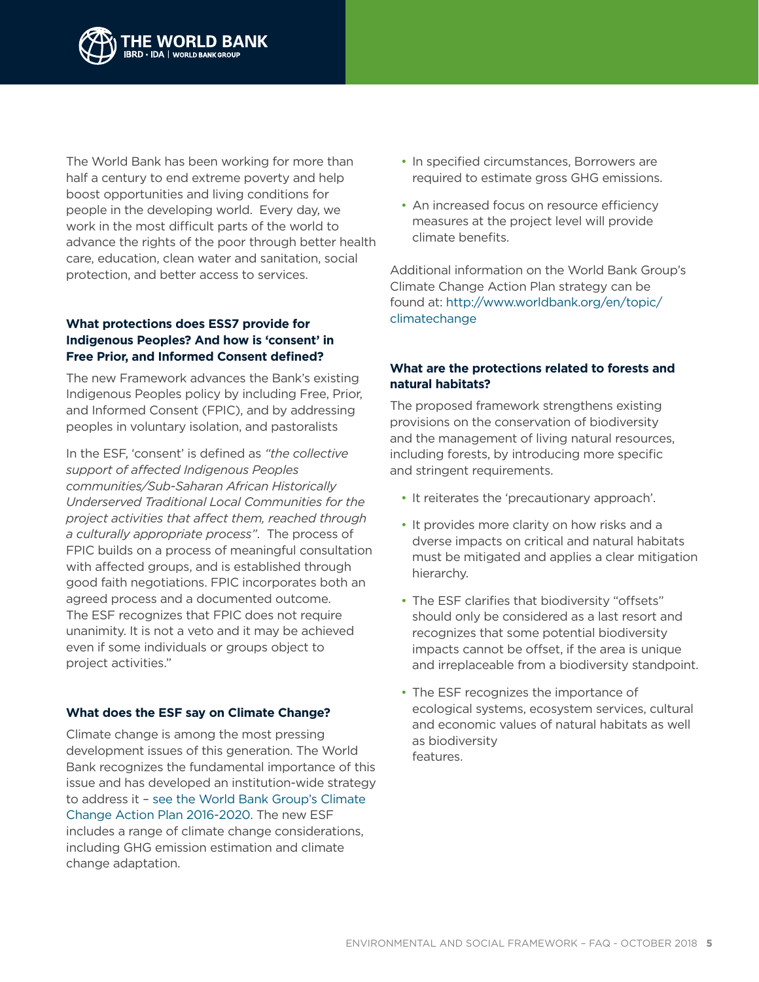

The World Bank has been working for more than half a century to end extreme poverty and help boost opportunities and living conditions for people in the developing world. Every day, we work in the most difficult parts of the world to advance the rights of the poor through better health care, education, clean water and sanitation, social protection, and better access to services.

# **What protections does ESS7 provide for Indigenous Peoples? And how is 'consent' in Free Prior, and Informed Consent defined?**

The new Framework advances the Bank's existing Indigenous Peoples policy by including Free, Prior, and Informed Consent (FPIC), and by addressing peoples in voluntary isolation, and pastoralists

In the ESF, 'consent' is defined as *"the collective support of affected Indigenous Peoples communities/Sub-Saharan African Historically Underserved Traditional Local Communities for the project activities that affect them, reached through a culturally appropriate process"*. The process of FPIC builds on a process of meaningful consultation with affected groups, and is established through good faith negotiations. FPIC incorporates both an agreed process and a documented outcome. The ESF recognizes that FPIC does not require unanimity. It is not a veto and it may be achieved even if some individuals or groups object to project activities."

# **What does the ESF say on Climate Change?**

Climate change is among the most pressing development issues of this generation. The World Bank recognizes the fundamental importance of this issue and has developed an institution-wide strategy to address it – [see the World Bank Group's Climate](http://pubdocs.worldbank.org/en/677331460056382875/WBG-Climate-Change-Action-Plan-public-version.pdf)  [Change Action Plan 2016-2020.](http://pubdocs.worldbank.org/en/677331460056382875/WBG-Climate-Change-Action-Plan-public-version.pdf) The new ESF includes a range of climate change considerations, including GHG emission estimation and climate change adaptation.

- In specified circumstances, Borrowers are required to estimate gross GHG emissions.
- An increased focus on resource efficiency measures at the project level will provide climate benefits.

Additional information on the World Bank Group's Climate Change Action Plan strategy can be found at: [http://www.worldbank.org/en/topic/](http://www.worldbank.org/en/topic/climatechange) [climatechange](http://www.worldbank.org/en/topic/climatechange)

#### **What are the protections related to forests and natural habitats?**

The proposed framework strengthens existing provisions on the conservation of biodiversity and the management of living natural resources, including forests, by introducing more specific and stringent requirements.

- It reiterates the 'precautionary approach'.
- It provides more clarity on how risks and a dverse impacts on critical and natural habitats must be mitigated and applies a clear mitigation hierarchy.
- The ESF clarifies that biodiversity "offsets" should only be considered as a last resort and recognizes that some potential biodiversity impacts cannot be offset, if the area is unique and irreplaceable from a biodiversity standpoint.
- The ESF recognizes the importance of ecological systems, ecosystem services, cultural and economic values of natural habitats as well as biodiversity features.